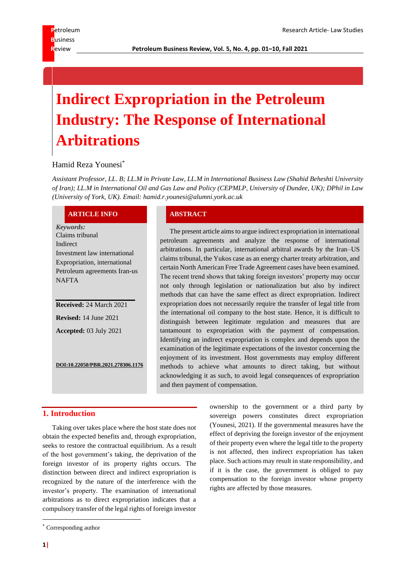# **Indirect Expropriation in the Petroleum Industry: The Response of International Arbitrations**

# Hamid Reza Younesi\*

*Assistant Professor, LL. B; LL.M in Private Law, LL.M in International Business Law (Shahid Beheshti University of Iran); LL.M in International Oil and Gas Law and Policy (CEPMLP, University of Dundee, UK); DPhil in Law (University of York, UK). Email: hamid.r.younesi@alumni.york.ac.uk*

#### **ARTICLE INFO ABSTRACT**

*Keywords:* Claims tribunal Indirect Investment law international Expropriation, international Petroleum agreements Iran-us NAFTA

**Received:** 24 March 2021 **Revised:** 14 June 2021 **Accepted:** 03 July 2021

**DOI:10.22050/PBR.2021.278306.1176**

The present article aims to argue indirect expropriation in international petroleum agreements and analyze the response of international arbitrations. In particular, international arbitral awards by the Iran–US claims tribunal, the Yukos case as an energy charter treaty arbitration, and certain North American Free Trade Agreement cases have been examined. The recent trend shows that taking foreign investors' property may occur not only through legislation or nationalization but also by indirect methods that can have the same effect as direct expropriation. Indirect expropriation does not necessarily require the transfer of legal title from the international oil company to the host state. Hence, it is difficult to distinguish between legitimate regulation and measures that are tantamount to expropriation with the payment of compensation. Identifying an indirect expropriation is complex and depends upon the examination of the legitimate expectations of the investor concerning the enjoyment of its investment. Host governments may employ different methods to achieve what amounts to direct taking, but without acknowledging it as such, to avoid legal consequences of expropriation and then payment of compensation.

# **1. Introduction**

Taking over takes place where the host state does not obtain the expected benefits and, through expropriation, seeks to restore the contractual equilibrium. As a result of the host government's taking, the deprivation of the foreign investor of its property rights occurs. The distinction between direct and indirect expropriation is recognized by the nature of the interference with the investor's property. The examination of international arbitrations as to direct expropriation indicates that a compulsory transfer of the legal rights of foreign investor

ownership to the government or a third party by sovereign powers constitutes direct expropriation (Younesi, 2021). If the governmental measures have the effect of depriving the foreign investor of the enjoyment of their property even where the legal title to the property is not affected, then indirect expropriation has taken place. Such actions may result in state responsibility, and if it is the case, the government is obliged to pay compensation to the foreign investor whose property rights are affected by those measures.

<sup>\*</sup> Corresponding author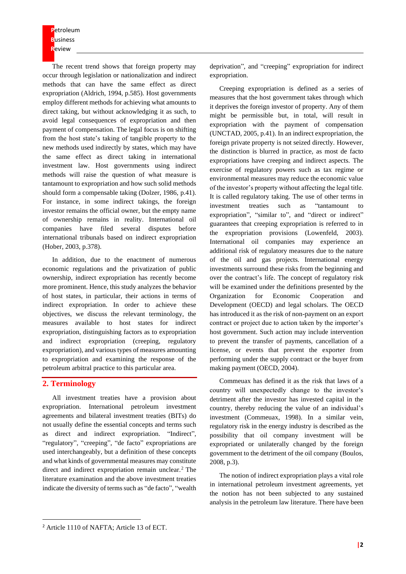**P**etroleum **B**usiness **R**eview

The recent trend shows that foreign property may occur through legislation or nationalization and indirect methods that can have the same effect as direct expropriation (Aldrich, 1994, p.585). Host governments employ different methods for achieving what amounts to direct taking, but without acknowledging it as such, to avoid legal consequences of expropriation and then payment of compensation. The legal focus is on shifting from the host state's taking of tangible property to the new methods used indirectly by states, which may have the same effect as direct taking in international investment law. Host governments using indirect methods will raise the question of what measure is tantamount to expropriation and how such solid methods should form a compensable taking (Dolzer, 1986, p.41). For instance, in some indirect takings, the foreign investor remains the official owner, but the empty name of ownership remains in reality. International oil companies have filed several disputes before international tribunals based on indirect expropriation (Hober, 2003, p.378).

In addition, due to the enactment of numerous economic regulations and the privatization of public ownership, indirect expropriation has recently become more prominent. Hence, this study analyzes the behavior of host states, in particular, their actions in terms of indirect expropriation. In order to achieve these objectives, we discuss the relevant terminology, the measures available to host states for indirect expropriation, distinguishing factors as to expropriation and indirect expropriation (creeping, regulatory expropriation), and various types of measures amounting to expropriation and examining the response of the petroleum arbitral practice to this particular area.

### **2. Terminology**

All investment treaties have a provision about expropriation. International petroleum investment agreements and bilateral investment treaties (BITs) do not usually define the essential concepts and terms such as direct and indirect expropriation. "Indirect", "regulatory", "creeping", "de facto" expropriations are used interchangeably, but a definition of these concepts and what kinds of governmental measures may constitute direct and indirect expropriation remain unclear.<sup>2</sup> The literature examination and the above investment treaties indicate the diversity of terms such as "de facto", "wealth

deprivation", and "creeping" expropriation for indirect expropriation.

Creeping expropriation is defined as a series of measures that the host government takes through which it deprives the foreign investor of property. Any of them might be permissible but, in total, will result in expropriation with the payment of compensation (UNCTAD, 2005, p.41). In an indirect expropriation, the foreign private property is not seized directly. However, the distinction is blurred in practice, as most de facto expropriations have creeping and indirect aspects. The exercise of regulatory powers such as tax regime or environmental measures may reduce the economic value of the investor's property without affecting the legal title. It is called regulatory taking. The use of other terms in investment treaties such as "tantamount to expropriation", "similar to", and "direct or indirect" guarantees that creeping expropriation is referred to in the expropriation provisions (Lowenfeld, 2003). International oil companies may experience an additional risk of regulatory measures due to the nature of the oil and gas projects. International energy investments surround these risks from the beginning and over the contract's life. The concept of regulatory risk will be examined under the definitions presented by the Organization for Economic Cooperation and Development (OECD) and legal scholars. The OECD has introduced it as the risk of non-payment on an export contract or project due to action taken by the importer's host government. Such action may include intervention to prevent the transfer of payments, cancellation of a license, or events that prevent the exporter from performing under the supply contract or the buyer from making payment (OECD, 2004).

Commeuax has defined it as the risk that laws of a country will unexpectedly change to the investor's detriment after the investor has invested capital in the country, thereby reducing the value of an individual's investment (Commeuax, 1998). In a similar vein, regulatory risk in the energy industry is described as the possibility that oil company investment will be expropriated or unilaterally changed by the foreign government to the detriment of the oil company (Boulos, 2008, p.3).

The notion of indirect expropriation plays a vital role in international petroleum investment agreements, yet the notion has not been subjected to any sustained analysis in the petroleum law literature. There have been

<sup>&</sup>lt;sup>2</sup> Article 1110 of NAFTA; Article 13 of ECT.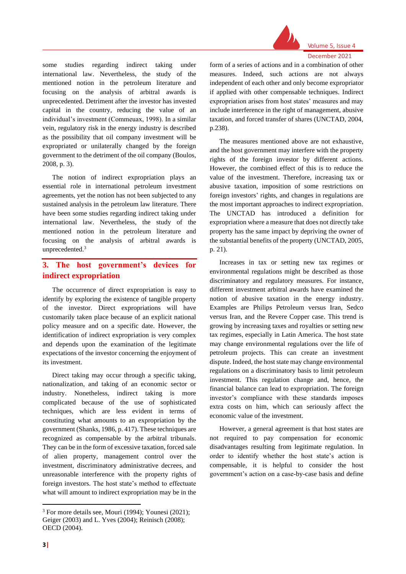

#### Volume 5, Issue 4 December 2021

some studies regarding indirect taking under international law. Nevertheless, the study of the mentioned notion in the petroleum literature and focusing on the analysis of arbitral awards is unprecedented. Detriment after the investor has invested capital in the country, reducing the value of an individual's investment (Commeuax, 1998). In a similar vein, regulatory risk in the energy industry is described as the possibility that oil company investment will be expropriated or unilaterally changed by the foreign government to the detriment of the oil company (Boulos, 2008, p. 3).

The notion of indirect expropriation plays an essential role in international petroleum investment agreements, yet the notion has not been subjected to any sustained analysis in the petroleum law literature. There have been some studies regarding indirect taking under international law. Nevertheless, the study of the mentioned notion in the petroleum literature and focusing on the analysis of arbitral awards is unprecedented.<sup>3</sup>

# **3. The host government's devices for indirect expropriation**

The occurrence of direct expropriation is easy to identify by exploring the existence of tangible property of the investor. Direct expropriations will have customarily taken place because of an explicit national policy measure and on a specific date. However, the identification of indirect expropriation is very complex and depends upon the examination of the legitimate expectations of the investor concerning the enjoyment of its investment.

Direct taking may occur through a specific taking, nationalization, and taking of an economic sector or industry. Nonetheless, indirect taking is more complicated because of the use of sophisticated techniques, which are less evident in terms of constituting what amounts to an expropriation by the government (Shanks, 1986, p. 417). These techniques are recognized as compensable by the arbitral tribunals. They can be in the form of excessive taxation, forced sale of alien property, management control over the investment, discriminatory administrative decrees, and unreasonable interference with the property rights of foreign investors. The host state's method to effectuate what will amount to indirect expropriation may be in the

form of a series of actions and in a combination of other measures. Indeed, such actions are not always independent of each other and only become expropriator if applied with other compensable techniques. Indirect expropriation arises from host states' measures and may include interference in the right of management, abusive taxation, and forced transfer of shares (UNCTAD, 2004, p.238).

The measures mentioned above are not exhaustive, and the host government may interfere with the property rights of the foreign investor by different actions. However, the combined effect of this is to reduce the value of the investment. Therefore, increasing tax or abusive taxation, imposition of some restrictions on foreign investors' rights, and changes in regulations are the most important approaches to indirect expropriation. The UNCTAD has introduced a definition for expropriation where a measure that does not directly take property has the same impact by depriving the owner of the substantial benefits of the property (UNCTAD, 2005, p. 21).

Increases in tax or setting new tax regimes or environmental regulations might be described as those discriminatory and regulatory measures. For instance, different investment arbitral awards have examined the notion of abusive taxation in the energy industry. Examples are Philips Petroleum versus Iran, Sedco versus Iran, and the Revere Copper case. This trend is growing by increasing taxes and royalties or setting new tax regimes, especially in Latin America. The host state may change environmental regulations over the life of petroleum projects. This can create an investment dispute. Indeed, the host state may change environmental regulations on a discriminatory basis to limit petroleum investment. This regulation change and, hence, the financial balance can lead to expropriation. The foreign investor's compliance with these standards imposes extra costs on him, which can seriously affect the economic value of the investment.

However, a general agreement is that host states are not required to pay compensation for economic disadvantages resulting from legitimate regulation. In order to identify whether the host state's action is compensable, it is helpful to consider the host government's action on a case-by-case basis and define

<sup>3</sup> For more details see, Mouri (1994); Younesi (2021); Geiger (2003) and L. Yves (2004); Reinisch (2008); OECD (2004).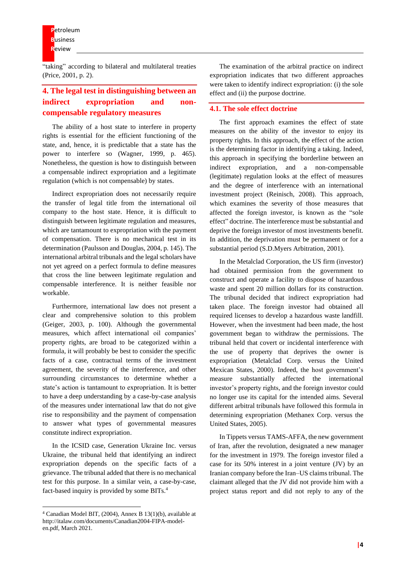"taking" according to bilateral and multilateral treaties (Price, 2001, p. 2).

# **4. The legal test in distinguishing between an indirect expropriation and noncompensable regulatory measures**

The ability of a host state to interfere in property rights is essential for the efficient functioning of the state, and, hence, it is predictable that a state has the power to interfere so (Wagner, 1999, p. 465). Nonetheless, the question is how to distinguish between a compensable indirect expropriation and a legitimate regulation (which is not compensable) by states.

Indirect expropriation does not necessarily require the transfer of legal title from the international oil company to the host state. Hence, it is difficult to distinguish between legitimate regulation and measures, which are tantamount to expropriation with the payment of compensation. There is no mechanical test in its determination (Paulsson and Douglas, 2004, p. 145). The international arbitral tribunals and the legal scholars have not yet agreed on a perfect formula to define measures that cross the line between legitimate regulation and compensable interference. It is neither feasible nor workable.

Furthermore, international law does not present a clear and comprehensive solution to this problem (Geiger, 2003, p. 100). Although the governmental measures, which affect international oil companies' property rights, are broad to be categorized within a formula, it will probably be best to consider the specific facts of a case, contractual terms of the investment agreement, the severity of the interference, and other surrounding circumstances to determine whether a state's action is tantamount to expropriation. It is better to have a deep understanding by a case-by-case analysis of the measures under international law that do not give rise to responsibility and the payment of compensation to answer what types of governmental measures constitute indirect expropriation.

In the ICSID case, Generation Ukraine Inc. versus Ukraine, the tribunal held that identifying an indirect expropriation depends on the specific facts of a grievance. The tribunal added that there is no mechanical test for this purpose. In a similar vein, a case-by-case, fact-based inquiry is provided by some BITs.<sup>4</sup>

The examination of the arbitral practice on indirect expropriation indicates that two different approaches were taken to identify indirect expropriation: (i) the sole effect and (ii) the purpose doctrine.

#### **4.1. The sole effect doctrine**

The first approach examines the effect of state measures on the ability of the investor to enjoy its property rights. In this approach, the effect of the action is the determining factor in identifying a taking. Indeed, this approach in specifying the borderline between an indirect expropriation, and a non-compensable (legitimate) regulation looks at the effect of measures and the degree of interference with an international investment project (Reinisch, 2008). This approach, which examines the severity of those measures that affected the foreign investor, is known as the "sole effect" doctrine. The interference must be substantial and deprive the foreign investor of most investments benefit. In addition, the deprivation must be permanent or for a substantial period (S.D.Myers Arbitration, 2001).

In the Metalclad Corporation, the US firm (investor) had obtained permission from the government to construct and operate a facility to dispose of hazardous waste and spent 20 million dollars for its construction. The tribunal decided that indirect expropriation had taken place. The foreign investor had obtained all required licenses to develop a hazardous waste landfill. However, when the investment had been made, the host government began to withdraw the permissions. The tribunal held that covert or incidental interference with the use of property that deprives the owner is expropriation (Metalclad Corp. versus the United Mexican States, 2000). Indeed, the host government's measure substantially affected the international investor's property rights, and the foreign investor could no longer use its capital for the intended aims. Several different arbitral tribunals have followed this formula in determining expropriation (Methanex Corp. versus the United States, 2005).

In Tippets versus TAMS-AFFA, the new government of Iran, after the revolution, designated a new manager for the investment in 1979. The foreign investor filed a case for its 50% interest in a joint venture (JV) by an Iranian company before the Iran–US claims tribunal. The claimant alleged that the JV did not provide him with a project status report and did not reply to any of the

<sup>4</sup> Canadian Model BIT, (2004), Annex B 13(1)(b), available at http://italaw.com/documents/Canadian2004-FIPA-modelen.pdf, March 2021.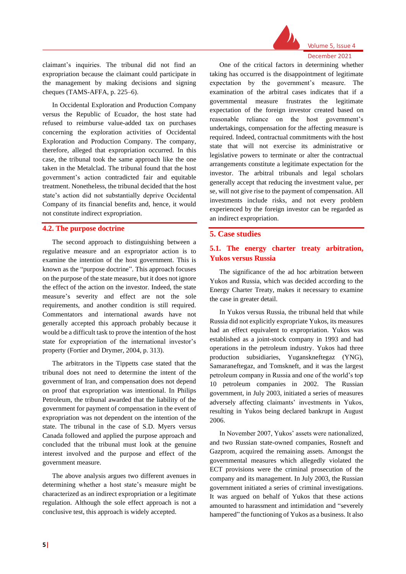

Volume 5, Issue 4 December 2021

claimant's inquiries. The tribunal did not find an expropriation because the claimant could participate in the management by making decisions and signing cheques (TAMS-AFFA, p. 225–6).

In Occidental Exploration and Production Company versus the Republic of Ecuador, the host state had refused to reimburse value-added tax on purchases concerning the exploration activities of Occidental Exploration and Production Company. The company, therefore, alleged that expropriation occurred. In this case, the tribunal took the same approach like the one taken in the Metalclad. The tribunal found that the host government's action contradicted fair and equitable treatment. Nonetheless, the tribunal decided that the host state's action did not substantially deprive Occidental Company of its financial benefits and, hence, it would not constitute indirect expropriation.

#### **4.2. The purpose doctrine**

The second approach to distinguishing between a regulative measure and an expropriator action is to examine the intention of the host government. This is known as the "purpose doctrine". This approach focuses on the purpose of the state measure, but it does not ignore the effect of the action on the investor. Indeed, the state measure's severity and effect are not the sole requirements, and another condition is still required. Commentators and international awards have not generally accepted this approach probably because it would be a difficult task to prove the intention of the host state for expropriation of the international investor's property (Fortier and Drymer, 2004, p. 313).

The arbitrators in the Tippetts case stated that the tribunal does not need to determine the intent of the government of Iran, and compensation does not depend on proof that expropriation was intentional. In Philips Petroleum, the tribunal awarded that the liability of the government for payment of compensation in the event of expropriation was not dependent on the intention of the state. The tribunal in the case of S.D. Myers versus Canada followed and applied the purpose approach and concluded that the tribunal must look at the genuine interest involved and the purpose and effect of the government measure.

The above analysis argues two different avenues in determining whether a host state's measure might be characterized as an indirect expropriation or a legitimate regulation. Although the sole effect approach is not a conclusive test, this approach is widely accepted.

One of the critical factors in determining whether taking has occurred is the disappointment of legitimate expectation by the government's measure. The examination of the arbitral cases indicates that if a governmental measure frustrates the legitimate expectation of the foreign investor created based on reasonable reliance on the host government's undertakings, compensation for the affecting measure is required. Indeed, contractual commitments with the host state that will not exercise its administrative or legislative powers to terminate or alter the contractual arrangements constitute a legitimate expectation for the investor. The arbitral tribunals and legal scholars generally accept that reducing the investment value, per se, will not give rise to the payment of compensation. All investments include risks, and not every problem experienced by the foreign investor can be regarded as an indirect expropriation.

#### **5. Case studies**

## **5.1. The energy charter treaty arbitration, Yukos versus Russia**

The significance of the ad hoc arbitration between Yukos and Russia, which was decided according to the Energy Charter Treaty, makes it necessary to examine the case in greater detail.

In Yukos versus Russia, the tribunal held that while Russia did not explicitly expropriate Yukos, its measures had an effect equivalent to expropriation. Yukos was established as a joint-stock company in 1993 and had operations in the petroleum industry. Yukos had three production subsidiaries, Yuganskneftegaz (YNG), Samaraneftegaz, and Tomskneft, and it was the largest petroleum company in Russia and one of the world's top 10 petroleum companies in 2002. The Russian government, in July 2003, initiated a series of measures adversely affecting claimants' investments in Yukos, resulting in Yukos being declared bankrupt in August 2006.

In November 2007, Yukos' assets were nationalized, and two Russian state-owned companies, Rosneft and Gazprom, acquired the remaining assets. Amongst the governmental measures which allegedly violated the ECT provisions were the criminal prosecution of the company and its management. In July 2003, the Russian government initiated a series of criminal investigations. It was argued on behalf of Yukos that these actions amounted to harassment and intimidation and "severely hampered" the functioning of Yukos as a business. It also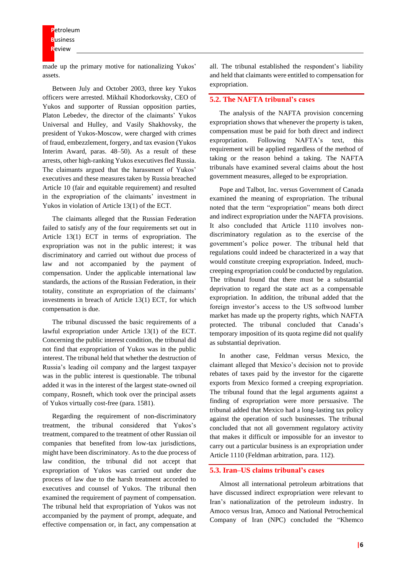made up the primary motive for nationalizing Yukos' assets.

Between July and October 2003, three key Yukos officers were arrested. Mikhail Khodorkovsky, CEO of Yukos and supporter of Russian opposition parties, Platon Lebedev, the director of the claimants' Yukos Universal and Hulley, and Vasily Shakhovsky, the president of Yukos-Moscow, were charged with crimes of fraud, embezzlement, forgery, and tax evasion (Yukos Interim Award, paras. 48–50). As a result of these arrests, other high-ranking Yukos executives fled Russia. The claimants argued that the harassment of Yukos' executives and these measures taken by Russia breached Article 10 (fair and equitable requirement) and resulted in the expropriation of the claimants' investment in Yukos in violation of Article 13(1) of the ECT.

The claimants alleged that the Russian Federation failed to satisfy any of the four requirements set out in Article 13(1) ECT in terms of expropriation. The expropriation was not in the public interest; it was discriminatory and carried out without due process of law and not accompanied by the payment of compensation. Under the applicable international law standards, the actions of the Russian Federation, in their totality, constitute an expropriation of the claimants' investments in breach of Article 13(1) ECT, for which compensation is due.

The tribunal discussed the basic requirements of a lawful expropriation under Article 13(1) of the ECT. Concerning the public interest condition, the tribunal did not find that expropriation of Yukos was in the public interest. The tribunal held that whether the destruction of Russia's leading oil company and the largest taxpayer was in the public interest is questionable. The tribunal added it was in the interest of the largest state-owned oil company, Rosneft, which took over the principal assets of Yukos virtually cost-free (para. 1581).

Regarding the requirement of non-discriminatory treatment, the tribunal considered that Yukos's treatment, compared to the treatment of other Russian oil companies that benefited from low-tax jurisdictions, might have been discriminatory. As to the due process of law condition, the tribunal did not accept that expropriation of Yukos was carried out under due process of law due to the harsh treatment accorded to executives and counsel of Yukos. The tribunal then examined the requirement of payment of compensation. The tribunal held that expropriation of Yukos was not accompanied by the payment of prompt, adequate, and effective compensation or, in fact, any compensation at

all. The tribunal established the respondent's liability and held that claimants were entitled to compensation for expropriation.

#### **5.2. The NAFTA tribunal's cases**

The analysis of the NAFTA provision concerning expropriation shows that whenever the property is taken, compensation must be paid for both direct and indirect expropriation. Following NAFTA's text, this requirement will be applied regardless of the method of taking or the reason behind a taking. The NAFTA tribunals have examined several claims about the host government measures, alleged to be expropriation.

Pope and Talbot, Inc. versus Government of Canada examined the meaning of expropriation. The tribunal noted that the term "expropriation" means both direct and indirect expropriation under the NAFTA provisions. It also concluded that Article 1110 involves nondiscriminatory regulation as to the exercise of the government's police power. The tribunal held that regulations could indeed be characterized in a way that would constitute creeping expropriation. Indeed, muchcreeping expropriation could be conducted by regulation. The tribunal found that there must be a substantial deprivation to regard the state act as a compensable expropriation. In addition, the tribunal added that the foreign investor's access to the US softwood lumber market has made up the property rights, which NAFTA protected. The tribunal concluded that Canada's temporary imposition of its quota regime did not qualify as substantial deprivation.

In another case, Feldman versus Mexico, the claimant alleged that Mexico's decision not to provide rebates of taxes paid by the investor for the cigarette exports from Mexico formed a creeping expropriation. The tribunal found that the legal arguments against a finding of expropriation were more persuasive. The tribunal added that Mexico had a long-lasting tax policy against the operation of such businesses. The tribunal concluded that not all government regulatory activity that makes it difficult or impossible for an investor to carry out a particular business is an expropriation under Article 1110 (Feldman arbitration, para. 112).

#### **5.3. Iran–US claims tribunal's cases**

Almost all international petroleum arbitrations that have discussed indirect expropriation were relevant to Iran's nationalization of the petroleum industry. In Amoco versus Iran, Amoco and National Petrochemical Company of Iran (NPC) concluded the "Khemco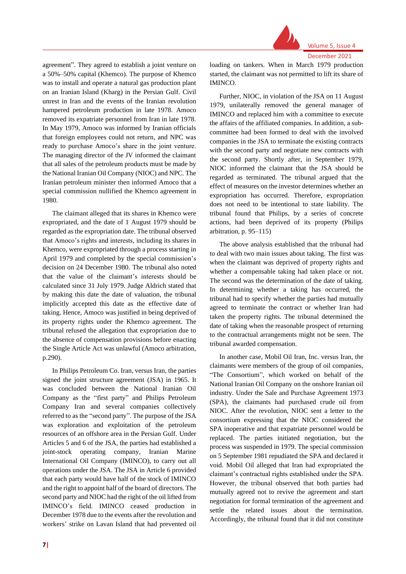

Volume 5, Issue 4

agreement". They agreed to establish a joint venture on a 50%–50% capital (Khemco). The purpose of Khemco was to install and operate a natural gas production plant on an Iranian Island (Kharg) in the Persian Gulf. Civil unrest in Iran and the events of the Iranian revolution hampered petroleum production in late 1978. Amoco removed its expatriate personnel from Iran in late 1978. In May 1979, Amoco was informed by Iranian officials that foreign employees could not return, and NPC was ready to purchase Amoco's share in the joint venture. The managing director of the JV informed the claimant that all sales of the petroleum products must be made by the National Iranian Oil Company (NIOC) and NPC. The Iranian petroleum minister then informed Amoco that a special commission nullified the Khemco agreement in 1980.

The claimant alleged that its shares in Khemco were expropriated, and the date of 1 August 1979 should be regarded as the expropriation date. The tribunal observed that Amoco's rights and interests, including its shares in Khemco, were expropriated through a process starting in April 1979 and completed by the special commission's decision on 24 December 1980. The tribunal also noted that the value of the claimant's interests should be calculated since 31 July 1979. Judge Aldrich stated that by making this date the date of valuation, the tribunal implicitly accepted this date as the effective date of taking. Hence, Amoco was justified in being deprived of its property rights under the Khemco agreement. The tribunal refused the allegation that expropriation due to the absence of compensation provisions before enacting the Single Article Act was unlawful (Amoco arbitration, p.290).

In Philips Petroleum Co. Iran, versus Iran, the parties signed the joint structure agreement (JSA) in 1965. It was concluded between the National Iranian Oil Company as the "first party" and Philips Petroleum Company Iran and several companies collectively referred to as the "second party". The purpose of the JSA was exploration and exploitation of the petroleum resources of an offshore area in the Persian Gulf. Under Articles 5 and 6 of the JSA, the parties had established a joint-stock operating company, Iranian Marine International Oil Company (IMINCO), to carry out all operations under the JSA. The JSA in Article 6 provided that each party would have half of the stock of IMINCO and the right to appoint half of the board of directors. The second party and NIOC had the right of the oil lifted from IMINCO's field. IMINCO ceased production in December 1978 due to the events after the revolution and workers' strike on Lavan Island that had prevented oil loading on tankers. When in March 1979 production started, the claimant was not permitted to lift its share of IMINCO.

Further, NIOC, in violation of the JSA on 11 August 1979, unilaterally removed the general manager of IMINCO and replaced him with a committee to execute the affairs of the affiliated companies. In addition, a subcommittee had been formed to deal with the involved companies in the JSA to terminate the existing contracts with the second party and negotiate new contracts with the second party. Shortly after, in September 1979, NIOC informed the claimant that the JSA should be regarded as terminated. The tribunal argued that the effect of measures on the investor determines whether an expropriation has occurred. Therefore, expropriation does not need to be intentional to state liability. The tribunal found that Philips, by a series of concrete actions, had been deprived of its property (Philips arbitration, p. 95–115)

The above analysis established that the tribunal had to deal with two main issues about taking. The first was when the claimant was deprived of property rights and whether a compensable taking had taken place or not. The second was the determination of the date of taking. In determining whether a taking has occurred, the tribunal had to specify whether the parties had mutually agreed to terminate the contract or whether Iran had taken the property rights. The tribunal determined the date of taking when the reasonable prospect of returning to the contractual arrangements might not be seen. The tribunal awarded compensation.

In another case, Mobil Oil Iran, Inc. versus Iran, the claimants were members of the group of oil companies, "The Consortium", which worked on behalf of the National Iranian Oil Company on the onshore Iranian oil industry. Under the Sale and Purchase Agreement 1973 (SPA), the claimants had purchased crude oil from NIOC. After the revolution, NIOC sent a letter to the consortium expressing that the NIOC considered the SPA inoperative and that expatriate personnel would be replaced. The parties initiated negotiation, but the process was suspended in 1979. The special commission on 5 September 1981 repudiated the SPA and declared it void. Mobil Oil alleged that Iran had expropriated the claimant's contractual rights established under the SPA. However, the tribunal observed that both parties had mutually agreed not to revive the agreement and start negotiation for formal termination of the agreement and settle the related issues about the termination. Accordingly, the tribunal found that it did not constitute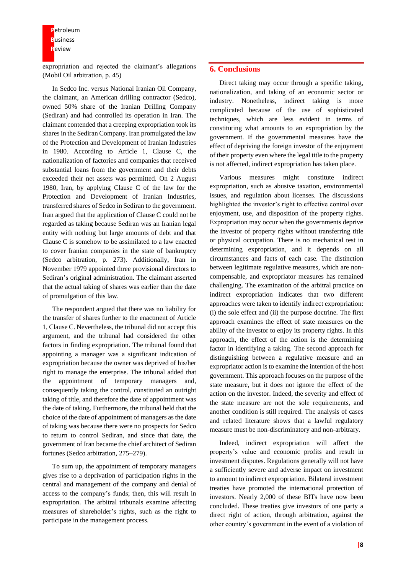**P**etroleum **B**usiness **R**eview

expropriation and rejected the claimant's allegations (Mobil Oil arbitration, p. 45)

In Sedco Inc. versus National Iranian Oil Company, the claimant, an American drilling contractor (Sedco), owned 50% share of the Iranian Drilling Company (Sediran) and had controlled its operation in Iran. The claimant contended that a creeping expropriation took its shares in the Sediran Company. Iran promulgated the law of the Protection and Development of Iranian Industries in 1980. According to Article 1, Clause C, the nationalization of factories and companies that received substantial loans from the government and their debts exceeded their net assets was permitted. On 2 August 1980, Iran, by applying Clause C of the law for the Protection and Development of Iranian Industries, transferred shares of Sedco in Sediran to the government. Iran argued that the application of Clause C could not be regarded as taking because Sediran was an Iranian legal entity with nothing but large amounts of debt and that Clause C is somehow to be assimilated to a law enacted to cover Iranian companies in the state of bankruptcy (Sedco arbitration, p. 273). Additionally, Iran in November 1979 appointed three provisional directors to Sediran's original administration. The claimant asserted that the actual taking of shares was earlier than the date of promulgation of this law.

The respondent argued that there was no liability for the transfer of shares further to the enactment of Article 1, Clause C. Nevertheless, the tribunal did not accept this argument, and the tribunal had considered the other factors in finding expropriation. The tribunal found that appointing a manager was a significant indication of expropriation because the owner was deprived of his/her right to manage the enterprise. The tribunal added that the appointment of temporary managers and, consequently taking the control, constituted an outright taking of title, and therefore the date of appointment was the date of taking. Furthermore, the tribunal held that the choice of the date of appointment of managers as the date of taking was because there were no prospects for Sedco to return to control Sediran, and since that date, the government of Iran became the chief architect of Sediran fortunes (Sedco arbitration, 275–279).

To sum up, the appointment of temporary managers gives rise to a deprivation of participation rights in the central and management of the company and denial of access to the company's funds; then, this will result in expropriation. The arbitral tribunals examine affecting measures of shareholder's rights, such as the right to participate in the management process.

#### **6. Conclusions**

Direct taking may occur through a specific taking, nationalization, and taking of an economic sector or industry. Nonetheless, indirect taking is more complicated because of the use of sophisticated techniques, which are less evident in terms of constituting what amounts to an expropriation by the government. If the governmental measures have the effect of depriving the foreign investor of the enjoyment of their property even where the legal title to the property is not affected, indirect expropriation has taken place.

Various measures might constitute indirect expropriation, such as abusive taxation, environmental issues, and regulation about licenses. The discussions highlighted the investor's right to effective control over enjoyment, use, and disposition of the property rights. Expropriation may occur when the governments deprive the investor of property rights without transferring title or physical occupation. There is no mechanical test in determining expropriation, and it depends on all circumstances and facts of each case. The distinction between legitimate regulative measures, which are noncompensable, and expropriator measures has remained challenging. The examination of the arbitral practice on indirect expropriation indicates that two different approaches were taken to identify indirect expropriation: (i) the sole effect and (ii) the purpose doctrine. The first approach examines the effect of state measures on the ability of the investor to enjoy its property rights. In this approach, the effect of the action is the determining factor in identifying a taking. The second approach for distinguishing between a regulative measure and an expropriator action is to examine the intention of the host government. This approach focuses on the purpose of the state measure, but it does not ignore the effect of the action on the investor. Indeed, the severity and effect of the state measure are not the sole requirements, and another condition is still required. The analysis of cases and related literature shows that a lawful regulatory measure must be non-discriminatory and non-arbitrary.

Indeed, indirect expropriation will affect the property's value and economic profits and result in investment disputes. Regulations generally will not have a sufficiently severe and adverse impact on investment to amount to indirect expropriation. Bilateral investment treaties have promoted the international protection of investors. Nearly 2,000 of these BITs have now been concluded. These treaties give investors of one party a direct right of action, through arbitration, against the other country's government in the event of a violation of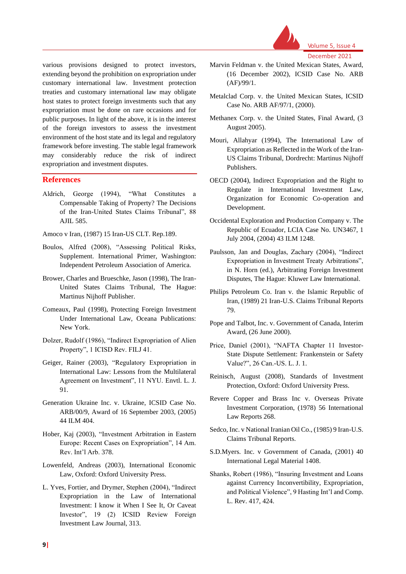

various provisions designed to protect investors, extending beyond the prohibition on expropriation under customary international law. Investment protection treaties and customary international law may obligate host states to protect foreign investments such that any expropriation must be done on rare occasions and for public purposes. In light of the above, it is in the interest of the foreign investors to assess the investment environment of the host state and its legal and regulatory framework before investing. The stable legal framework may considerably reduce the risk of indirect expropriation and investment disputes.

#### **References**

Aldrich, George (1994), "What Constitutes a Compensable Taking of Property? The Decisions of the Iran-United States Claims Tribunal", 88 AJIL 585.

Amoco v Iran, (1987) 15 Iran-US CLT. Rep.189.

- Boulos, Alfred (2008), "Assessing Political Risks, Supplement. International Primer, Washington: Independent Petroleum Association of America.
- Brower, Charles and Brueschke, Jason (1998), The Iran-United States Claims Tribunal, The Hague: Martinus Nijhoff Publisher.
- Comeaux, Paul (1998), Protecting Foreign Investment Under International Law, Oceana Publications: New York.
- Dolzer, Rudolf (1986), "Indirect Expropriation of Alien Property", 1 ICISD Rev. FILJ 41.
- Geiger, Rainer (2003), "Regulatory Expropriation in International Law: Lessons from the Multilateral Agreement on Investment", 11 NYU. Envtl. L. J. 91.
- Generation Ukraine Inc. v. Ukraine, ICSID Case No. ARB/00/9, Award of 16 September 2003, (2005) 44 ILM 404.
- Hober, Kaj (2003), "Investment Arbitration in Eastern Europe: Recent Cases on Expropriation", 14 Am. Rev. Int'l Arb. 378.
- Lowenfeld, Andreas (2003), International Economic Law, Oxford: Oxford University Press.
- L. Yves, Fortier, and Drymer, Stephen (2004), "Indirect Expropriation in the Law of International Investment: I know it When I See It, Or Caveat Investor", 19 (2) ICSID Review Foreign Investment Law Journal, 313.
- Marvin Feldman v. the United Mexican States, Award, (16 December 2002), ICSID Case No. ARB (AF)/99/1.
- Metalclad Corp. v. the United Mexican States, ICSID Case No. ARB AF/97/1, (2000).
- Methanex Corp. v. the United States, Final Award, (3 August 2005).
- Mouri, Allahyar (1994), The International Law of Expropriation as Reflected in the Work of the Iran-US Claims Tribunal, Dordrecht: Martinus Nijhoff Publishers.
- OECD (2004), Indirect Expropriation and the Right to Regulate in International Investment Law, Organization for Economic Co-operation and Development.
- Occidental Exploration and Production Company v. The Republic of Ecuador, LCIA Case No. UN3467, 1 July 2004, (2004) 43 ILM 1248.
- Paulsson, Jan and Douglas, Zachary (2004), "Indirect Expropriation in Investment Treaty Arbitrations", in N. Horn (ed.), Arbitrating Foreign Investment Disputes, The Hague: Kluwer Law International.
- Philips Petroleum Co. Iran v. the Islamic Republic of Iran, (1989) 21 Iran-U.S. Claims Tribunal Reports 79.
- Pope and Talbot, Inc. v. Government of Canada, Interim Award, (26 June 2000).
- Price, Daniel (2001), "NAFTA Chapter 11 Investor-State Dispute Settlement: Frankenstein or Safety Value?", 26 Can.-US. L. J. 1.
- Reinisch, August (2008), Standards of Investment Protection, Oxford: Oxford University Press.
- Revere Copper and Brass Inc v. Overseas Private Investment Corporation, (1978) 56 International Law Reports 268.
- Sedco, Inc. v National Iranian Oil Co., (1985) 9 Iran-U.S. Claims Tribunal Reports.
- S.D.Myers. Inc. v Government of Canada, (2001) 40 International Legal Material 1408.
- Shanks, Robert (1986), "Insuring Investment and Loans against Currency Inconvertibility, Expropriation, and Political Violence", 9 Hasting Int'l and Comp. L. Rev. 417, 424.